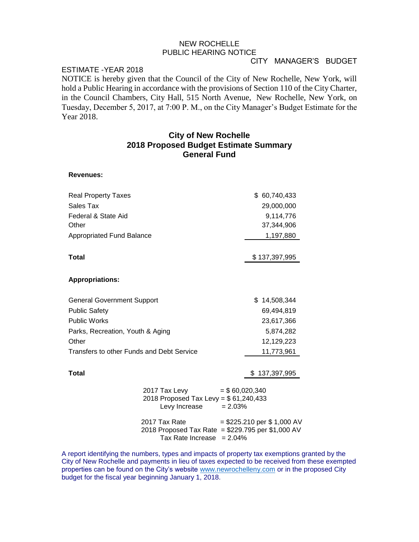# NEW ROCHELLE PUBLIC HEARING NOTICE

### CITY MANAGER'S BUDGET

### ESTIMATE -YEAR 2018

NOTICE is hereby given that the Council of the City of New Rochelle, New York, will hold a Public Hearing in accordance with the provisions of Section 110 of the City Charter, in the Council Chambers, City Hall, 515 North Avenue, New Rochelle, New York, on Tuesday, December 5, 2017, at 7:00 P. M., on the City Manager's Budget Estimate for the Year 2018.

## **City of New Rochelle 2018 Proposed Budget Estimate Summary General Fund**

#### **Revenues:**

| <b>Real Property Taxes</b>                |                                                                                                          | \$ 60,740,433                |
|-------------------------------------------|----------------------------------------------------------------------------------------------------------|------------------------------|
| Sales Tax                                 |                                                                                                          | 29,000,000                   |
| Federal & State Aid                       |                                                                                                          | 9,114,776                    |
| Other                                     |                                                                                                          | 37,344,906                   |
| <b>Appropriated Fund Balance</b>          |                                                                                                          | 1,197,880                    |
|                                           |                                                                                                          |                              |
| Total                                     |                                                                                                          | \$137,397,995                |
| <b>Appropriations:</b>                    |                                                                                                          |                              |
| <b>General Government Support</b>         |                                                                                                          | \$.<br>14,508,344            |
| <b>Public Safety</b>                      |                                                                                                          | 69,494,819                   |
| Public Works                              |                                                                                                          | 23,617,366                   |
| Parks, Recreation, Youth & Aging          |                                                                                                          | 5,874,282                    |
| Other                                     |                                                                                                          | 12,129,223                   |
| Transfers to other Funds and Debt Service |                                                                                                          | 11,773,961                   |
| <b>Total</b>                              |                                                                                                          | 137,397,995                  |
|                                           | 2017 Tax Levy<br>$=$ \$60,020,340<br>2018 Proposed Tax Levy = \$61,240,433<br>Levy Increase<br>$= 2.03%$ |                              |
|                                           | 2017 Tax Rate<br>2018 Proposed Tax Rate = \$229.795 per \$1,000 AV<br>Tax Rate Increase<br>$= 2.04%$     | $= $225.210$ per \$ 1,000 AV |

A report identifying the numbers, types and impacts of property tax exemptions granted by the City of New Rochelle and payments in lieu of taxes expected to be received from these exempted properties can be found on the City's website [www.newrochelleny.com](http://www.newrochelleny.com/) or in the proposed City budget for the fiscal year beginning January 1, 2018.